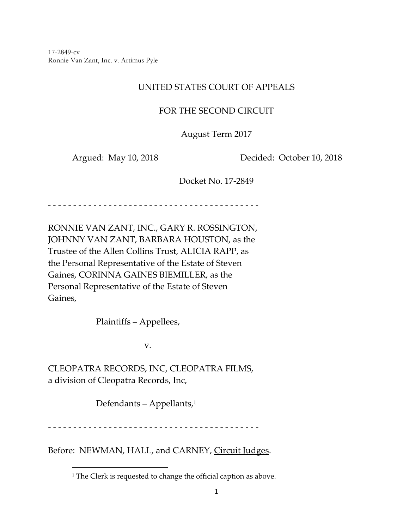17-2849-cv Ronnie Van Zant, Inc. v. Artimus Pyle

# UNITED STATES COURT OF APPEALS

## FOR THE SECOND CIRCUIT

August Term 2017

Argued: May 10, 2018 Decided: October 10, 2018

Docket No. 17‐2849

‐ ‐ ‐ ‐ ‐ ‐ ‐ ‐ ‐ ‐ ‐ ‐ ‐ ‐ ‐ ‐ ‐ ‐ ‐ ‐ ‐ ‐ ‐ ‐ ‐ ‐ ‐ ‐ ‐ ‐ ‐ ‐ ‐ ‐ ‐ ‐ ‐ ‐ ‐ ‐ ‐ ‐

RONNIE VAN ZANT, INC., GARY R. ROSSINGTON, JOHNNY VAN ZANT, BARBARA HOUSTON, as the Trustee of the Allen Collins Trust, ALICIA RAPP, as the Personal Representative of the Estate of Steven Gaines, CORINNA GAINES BIEMILLER, as the Personal Representative of the Estate of Steven Gaines,

Plaintiffs – Appellees,

v.

CLEOPATRA RECORDS, INC, CLEOPATRA FILMS, a division of Cleopatra Records, Inc,

Defendants – Appellants,1

‐ ‐ ‐ ‐ ‐ ‐ ‐ ‐ ‐ ‐ ‐ ‐ ‐ ‐ ‐ ‐ ‐ ‐ ‐ ‐ ‐ ‐ ‐ ‐ ‐ ‐ ‐ ‐ ‐ ‐ ‐ ‐ ‐ ‐ ‐ ‐ ‐ ‐ ‐ ‐ ‐ ‐

Before: NEWMAN, HALL, and CARNEY, Circuit Judges.

<sup>&</sup>lt;sup>1</sup> The Clerk is requested to change the official caption as above.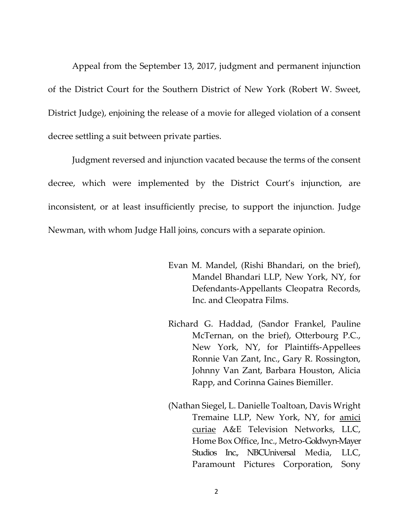Appeal from the September 13, 2017, judgment and permanent injunction of the District Court for the Southern District of New York (Robert W. Sweet, District Judge), enjoining the release of a movie for alleged violation of a consent decree settling a suit between private parties.

Judgment reversed and injunction vacated because the terms of the consent decree, which were implemented by the District Court's injunction, are inconsistent, or at least insufficiently precise, to support the injunction. Judge Newman, with whom Judge Hall joins, concurs with a separate opinion.

- Evan M. Mandel, (Rishi Bhandari, on the brief), Mandel Bhandari LLP, New York, NY, for Defendants‐Appellants Cleopatra Records, Inc. and Cleopatra Films.
- Richard G. Haddad, (Sandor Frankel, Pauline McTernan, on the brief), Otterbourg P.C., New York, NY, for Plaintiffs‐Appellees Ronnie Van Zant, Inc., Gary R. Rossington, Johnny Van Zant, Barbara Houston, Alicia Rapp, and Corinna Gaines Biemiller.
- (Nathan Siegel, L. Danielle Toaltoan, Davis Wright Tremaine LLP, New York, NY, for amici curiae A&E Television Networks, LLC, Home Box Office, Inc., Metro‐Goldwyn‐Mayer Studios Inc., NBCUniversal Media, LLC, Paramount Pictures Corporation, Sony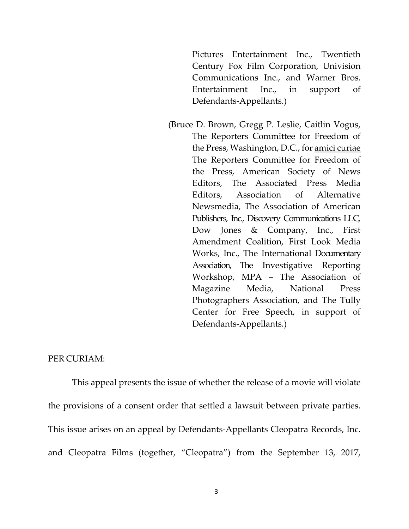Pictures Entertainment Inc., Twentieth Century Fox Film Corporation, Univision Communications Inc., and Warner Bros. Entertainment Inc., in support of Defendants‐Appellants.)

(Bruce D. Brown, Gregg P. Leslie, Caitlin Vogus, The Reporters Committee for Freedom of the Press, Washington, D.C., for amici curiae The Reporters Committee for Freedom of the Press, American Society of News Editors, The Associated Press Media Editors, Association of Alternative Newsmedia, The Association of American Publishers, Inc., Discovery Communications LLC, Dow Jones & Company, Inc., First Amendment Coalition, First Look Media Works, Inc., The International Documentary Association, The Investigative Reporting Workshop, MPA – The Association of Magazine Media, National Press Photographers Association, and The Tully Center for Free Speech, in support of Defendants‐Appellants.)

#### PER CURIAM:

This appeal presents the issue of whether the release of a movie will violate the provisions of a consent order that settled a lawsuit between private parties. This issue arises on an appeal by Defendants‐Appellants Cleopatra Records, Inc. and Cleopatra Films (together, "Cleopatra") from the September 13, 2017,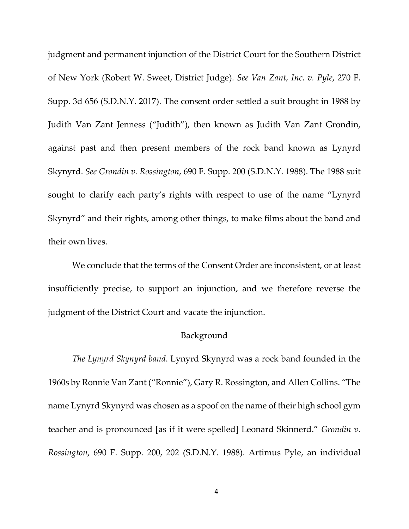judgment and permanent injunction of the District Court for the Southern District of New York (Robert W. Sweet, District Judge). *See Van Zant, Inc. v. Pyle*, 270 F. Supp. 3d 656 (S.D.N.Y. 2017). The consent order settled a suit brought in 1988 by Judith Van Zant Jenness ("Judith"), then known as Judith Van Zant Grondin, against past and then present members of the rock band known as Lynyrd Skynyrd. *See Grondin v. Rossington*, 690 F. Supp. 200 (S.D.N.Y. 1988). The 1988 suit sought to clarify each party's rights with respect to use of the name "Lynyrd Skynyrd" and their rights, among other things, to make films about the band and their own lives.

We conclude that the terms of the Consent Order are inconsistent, or at least insufficiently precise, to support an injunction, and we therefore reverse the judgment of the District Court and vacate the injunction.

### Background

*The Lynyrd Skynyrd band*. Lynyrd Skynyrd was a rock band founded in the 1960s by Ronnie Van Zant ("Ronnie"), Gary R. Rossington, and Allen Collins. "The name Lynyrd Skynyrd was chosen as a spoof on the name of their high school gym teacher and is pronounced [as if it were spelled] Leonard Skinnerd." *Grondin v. Rossington*, 690 F. Supp. 200, 202 (S.D.N.Y. 1988). Artimus Pyle, an individual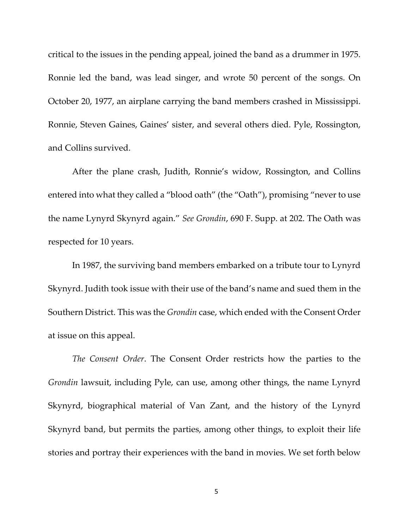critical to the issues in the pending appeal, joined the band as a drummer in 1975. Ronnie led the band, was lead singer, and wrote 50 percent of the songs. On October 20, 1977, an airplane carrying the band members crashed in Mississippi. Ronnie, Steven Gaines, Gaines' sister, and several others died. Pyle, Rossington, and Collins survived.

After the plane crash, Judith, Ronnie's widow, Rossington, and Collins entered into what they called a "blood oath" (the "Oath"), promising "never to use the name Lynyrd Skynyrd again." *See Grondin*, 690 F. Supp. at 202. The Oath was respected for 10 years.

In 1987, the surviving band members embarked on a tribute tour to Lynyrd Skynyrd. Judith took issue with their use of the band's name and sued them in the Southern District. This was the *Grondin* case, which ended with the Consent Order at issue on this appeal.

*The Consent Order*. The Consent Order restricts how the parties to the *Grondin* lawsuit, including Pyle, can use, among other things, the name Lynyrd Skynyrd, biographical material of Van Zant, and the history of the Lynyrd Skynyrd band, but permits the parties, among other things, to exploit their life stories and portray their experiences with the band in movies. We set forth below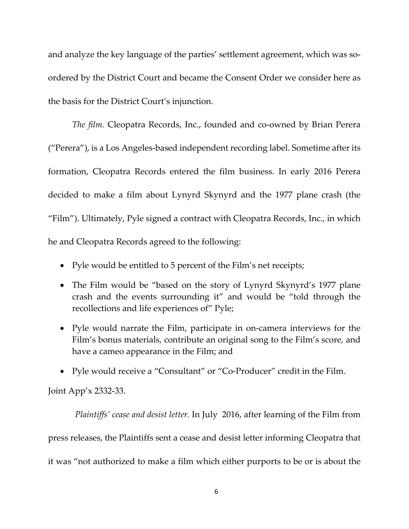and analyze the key language of the parties' settlement agreement, which was soordered by the District Court and became the Consent Order we consider here as the basis for the District Court's injunction.

*The film.* Cleopatra Records, Inc., founded and co‐owned by Brian Perera ("Perera"), is a Los Angeles‐based independent recording label. Sometime after its formation, Cleopatra Records entered the film business. In early 2016 Perera decided to make a film about Lynyrd Skynyrd and the 1977 plane crash (the "Film"). Ultimately, Pyle signed a contract with Cleopatra Records, Inc., in which he and Cleopatra Records agreed to the following:

- Pyle would be entitled to 5 percent of the Film's net receipts;
- The Film would be "based on the story of Lynyrd Skynyrd's 1977 plane crash and the events surrounding it" and would be "told through the recollections and life experiences of" Pyle;
- Pyle would narrate the Film, participate in on-camera interviews for the Film's bonus materials, contribute an original song to the Film's score, and have a cameo appearance in the Film; and
- Pyle would receive a "Consultant" or "Co-Producer" credit in the Film.

Joint App'x 2332‐33.

*Plaintiffs' cease and desist letter.* In July 2016, after learning of the Film from press releases, the Plaintiffs sent a cease and desist letter informing Cleopatra that it was "not authorized to make a film which either purports to be or is about the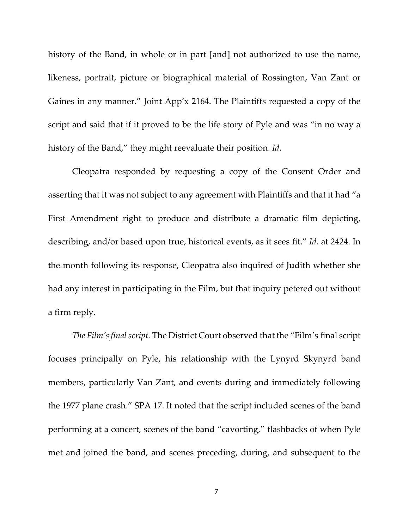history of the Band, in whole or in part [and] not authorized to use the name, likeness, portrait, picture or biographical material of Rossington, Van Zant or Gaines in any manner." Joint App'x 2164. The Plaintiffs requested a copy of the script and said that if it proved to be the life story of Pyle and was "in no way a history of the Band," they might reevaluate their position. *Id*.

Cleopatra responded by requesting a copy of the Consent Order and asserting that it was not subject to any agreement with Plaintiffs and that it had "a First Amendment right to produce and distribute a dramatic film depicting, describing, and/or based upon true, historical events, as it sees fit." *Id.* at 2424. In the month following its response, Cleopatra also inquired of Judith whether she had any interest in participating in the Film, but that inquiry petered out without a firm reply.

*The Film'sfinal script.* The District Court observed that the "Film's final script focuses principally on Pyle, his relationship with the Lynyrd Skynyrd band members, particularly Van Zant, and events during and immediately following the 1977 plane crash." SPA 17. It noted that the script included scenes of the band performing at a concert, scenes of the band "cavorting," flashbacks of when Pyle met and joined the band, and scenes preceding, during, and subsequent to the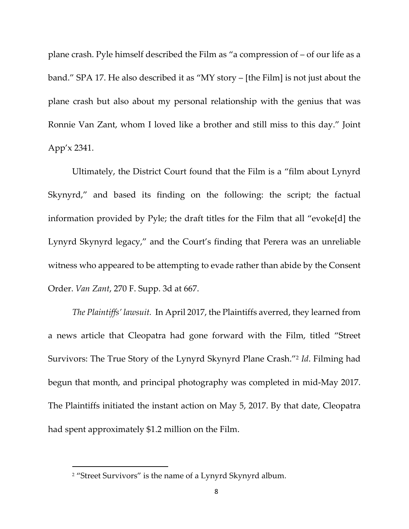plane crash. Pyle himself described the Film as "a compression of – of our life as a band." SPA 17. He also described it as "MY story – [the Film] is not just about the plane crash but also about my personal relationship with the genius that was Ronnie Van Zant, whom I loved like a brother and still miss to this day." Joint App'x 2341.

Ultimately, the District Court found that the Film is a "film about Lynyrd Skynyrd," and based its finding on the following: the script; the factual information provided by Pyle; the draft titles for the Film that all "evoke[d] the Lynyrd Skynyrd legacy," and the Court's finding that Perera was an unreliable witness who appeared to be attempting to evade rather than abide by the Consent Order. *Van Zant*, 270 F. Supp. 3d at 667.

*The Plaintiffs' lawsuit.* In April 2017, the Plaintiffs averred, they learned from a news article that Cleopatra had gone forward with the Film, titled "Street Survivors: The True Story of the Lynyrd Skynyrd Plane Crash."2 *Id*. Filming had begun that month, and principal photography was completed in mid‐May 2017. The Plaintiffs initiated the instant action on May 5, 2017. By that date, Cleopatra had spent approximately \$1.2 million on the Film.

<sup>&</sup>lt;sup>2</sup> "Street Survivors" is the name of a Lynyrd Skynyrd album.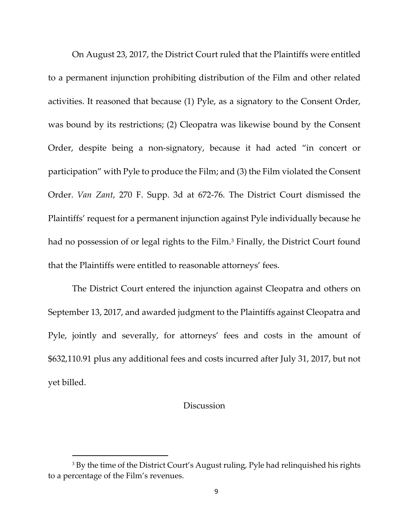On August 23, 2017, the District Court ruled that the Plaintiffs were entitled to a permanent injunction prohibiting distribution of the Film and other related activities. It reasoned that because (1) Pyle, as a signatory to the Consent Order, was bound by its restrictions; (2) Cleopatra was likewise bound by the Consent Order, despite being a non‐signatory, because it had acted "in concert or participation" with Pyle to produce the Film; and (3) the Film violated the Consent Order. *Van Zant*, 270 F. Supp. 3d at 672‐76. The District Court dismissed the Plaintiffs' request for a permanent injunction against Pyle individually because he had no possession of or legal rights to the Film.<sup>3</sup> Finally, the District Court found that the Plaintiffs were entitled to reasonable attorneys' fees.

The District Court entered the injunction against Cleopatra and others on September 13, 2017, and awarded judgment to the Plaintiffs against Cleopatra and Pyle, jointly and severally, for attorneys' fees and costs in the amount of \$632,110.91 plus any additional fees and costs incurred after July 31, 2017, but not yet billed.

### **Discussion**

<sup>&</sup>lt;sup>3</sup> By the time of the District Court's August ruling, Pyle had relinquished his rights to a percentage of the Film's revenues.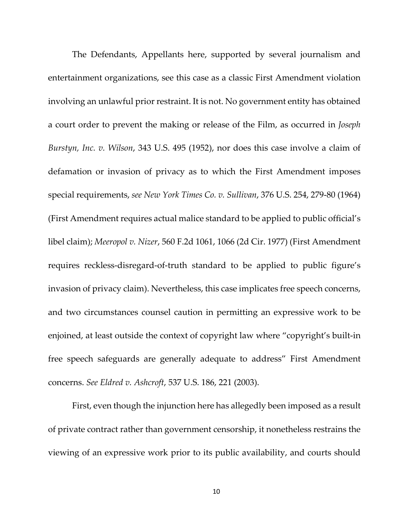The Defendants, Appellants here, supported by several journalism and entertainment organizations, see this case as a classic First Amendment violation involving an unlawful prior restraint. It is not. No government entity has obtained a court order to prevent the making or release of the Film, as occurred in *Joseph Burstyn, Inc. v. Wilson*, 343 U.S. 495 (1952), nor does this case involve a claim of defamation or invasion of privacy as to which the First Amendment imposes special requirements, *see New York Times Co. v. Sullivan*, 376 U.S. 254, 279‐80 (1964) (First Amendment requires actual malice standard to be applied to public official's libel claim); *Meeropol v. Nizer*, 560 F.2d 1061, 1066 (2d Cir. 1977) (First Amendment requires reckless‐disregard‐of‐truth standard to be applied to public figure's invasion of privacy claim). Nevertheless, this case implicates free speech concerns, and two circumstances counsel caution in permitting an expressive work to be enjoined, at least outside the context of copyright law where "copyright's built‐in free speech safeguards are generally adequate to address" First Amendment concerns. *See Eldred v. Ashcroft*, 537 U.S. 186, 221 (2003).

First, even though the injunction here has allegedly been imposed as a result of private contract rather than government censorship, it nonetheless restrains the viewing of an expressive work prior to its public availability, and courts should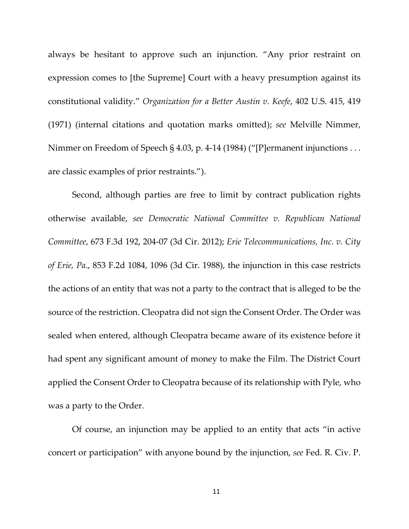always be hesitant to approve such an injunction. "Any prior restraint on expression comes to [the Supreme] Court with a heavy presumption against its constitutional validity." *Organization for a Better Austin v. Keefe*, 402 U.S. 415, 419 (1971) (internal citations and quotation marks omitted); *see* Melville Nimmer, Nimmer on Freedom of Speech § 4.03, p. 4‐14 (1984) ("[P]ermanent injunctions . . . are classic examples of prior restraints.").

Second, although parties are free to limit by contract publication rights otherwise available, *see Democratic National Committee v. Republican National Committee*, 673 F.3d 192, 204‐07 (3d Cir. 2012); *Erie Telecommunications, Inc. v. City of Erie, Pa*., 853 F.2d 1084, 1096 (3d Cir. 1988), the injunction in this case restricts the actions of an entity that was not a party to the contract that is alleged to be the source of the restriction. Cleopatra did not sign the Consent Order. The Order was sealed when entered, although Cleopatra became aware of its existence before it had spent any significant amount of money to make the Film. The District Court applied the Consent Order to Cleopatra because of its relationship with Pyle, who was a party to the Order.

Of course, an injunction may be applied to an entity that acts "in active concert or participation" with anyone bound by the injunction, *see* Fed. R. Civ. P.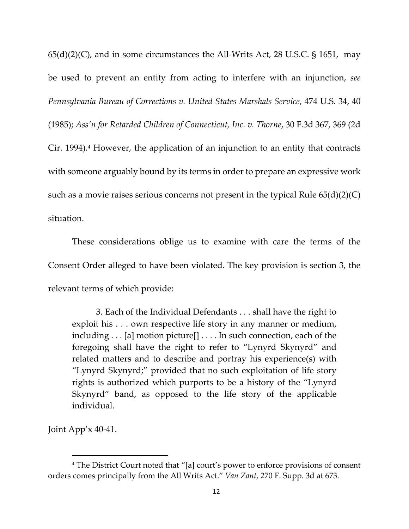$65(d)(2)(C)$ , and in some circumstances the All-Writs Act, 28 U.S.C. § 1651, may be used to prevent an entity from acting to interfere with an injunction, *see Pennsylvania Bureau of Corrections v. United States Marshals Service*, 474 U.S. 34, 40 (1985); *Ass'n for Retarded Children of Connecticut, Inc. v. Thorne*, 30 F.3d 367, 369 (2d Cir. 1994).<sup>4</sup> However, the application of an injunction to an entity that contracts with someone arguably bound by its terms in order to prepare an expressive work such as a movie raises serious concerns not present in the typical Rule 65(d)(2)(C) situation.

These considerations oblige us to examine with care the terms of the Consent Order alleged to have been violated. The key provision is section 3, the relevant terms of which provide:

3. Each of the Individual Defendants . . . shall have the right to exploit his . . . own respective life story in any manner or medium, including . . . [a] motion picture[] . . . . In such connection, each of the foregoing shall have the right to refer to "Lynyrd Skynyrd" and related matters and to describe and portray his experience(s) with "Lynyrd Skynyrd;" provided that no such exploitation of life story rights is authorized which purports to be a history of the "Lynyrd Skynyrd" band, as opposed to the life story of the applicable individual.

Joint App'x 40‐41.

<sup>4</sup> The District Court noted that "[a] court's power to enforce provisions of consent orders comes principally from the All Writs Act." *Van Zant*, 270 F. Supp. 3d at 673.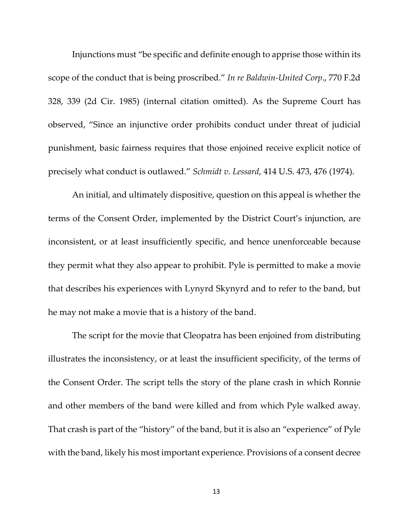Injunctions must "be specific and definite enough to apprise those within its scope of the conduct that is being proscribed." *In re Baldwin‐United Corp*., 770 F.2d 328, 339 (2d Cir. 1985) (internal citation omitted). As the Supreme Court has observed, "Since an injunctive order prohibits conduct under threat of judicial punishment, basic fairness requires that those enjoined receive explicit notice of precisely what conduct is outlawed." *Schmidt v. Lessard*, 414 U.S. 473, 476 (1974).

An initial, and ultimately dispositive, question on this appeal is whether the terms of the Consent Order, implemented by the District Court's injunction, are inconsistent, or at least insufficiently specific, and hence unenforceable because they permit what they also appear to prohibit. Pyle is permitted to make a movie that describes his experiences with Lynyrd Skynyrd and to refer to the band, but he may not make a movie that is a history of the band.

The script for the movie that Cleopatra has been enjoined from distributing illustrates the inconsistency, or at least the insufficient specificity, of the terms of the Consent Order. The script tells the story of the plane crash in which Ronnie and other members of the band were killed and from which Pyle walked away. That crash is part of the "history" of the band, but it is also an "experience" of Pyle with the band, likely his most important experience. Provisions of a consent decree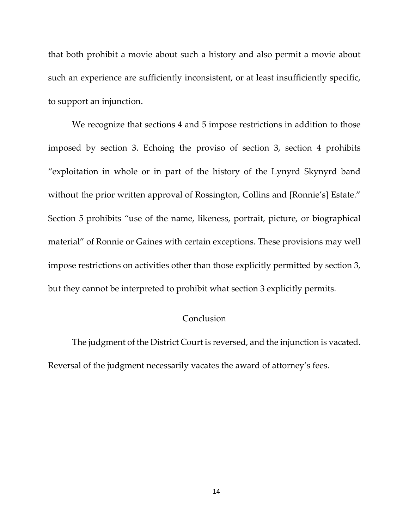that both prohibit a movie about such a history and also permit a movie about such an experience are sufficiently inconsistent, or at least insufficiently specific, to support an injunction.

We recognize that sections 4 and 5 impose restrictions in addition to those imposed by section 3. Echoing the proviso of section 3, section 4 prohibits "exploitation in whole or in part of the history of the Lynyrd Skynyrd band without the prior written approval of Rossington, Collins and [Ronnie's] Estate." Section 5 prohibits "use of the name, likeness, portrait, picture, or biographical material" of Ronnie or Gaines with certain exceptions. These provisions may well impose restrictions on activities other than those explicitly permitted by section 3, but they cannot be interpreted to prohibit what section 3 explicitly permits.

### **Conclusion**

The judgment of the District Court is reversed, and the injunction is vacated. Reversal of the judgment necessarily vacates the award of attorney's fees.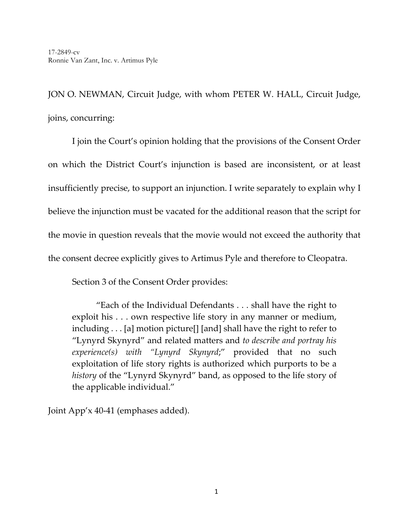JON O. NEWMAN, Circuit Judge, with whom PETER W. HALL, Circuit Judge, joins, concurring:

 I join the Court's opinion holding that the provisions of the Consent Order on which the District Court's injunction is based are inconsistent, or at least insufficiently precise, to support an injunction. I write separately to explain why I believe the injunction must be vacated for the additional reason that the script for the movie in question reveals that the movie would not exceed the authority that the consent decree explicitly gives to Artimus Pyle and therefore to Cleopatra.

Section 3 of the Consent Order provides:

"Each of the Individual Defendants . . . shall have the right to exploit his . . . own respective life story in any manner or medium, including . . . [a] motion picture[] [and] shall have the right to refer to "Lynyrd Skynyrd" and related matters and *to describe and portray his experience(s) with "Lynyrd Skynyrd*;" provided that no such exploitation of life story rights is authorized which purports to be a *history* of the "Lynyrd Skynyrd" band, as opposed to the life story of the applicable individual."

Joint App'x 40‐41 (emphases added).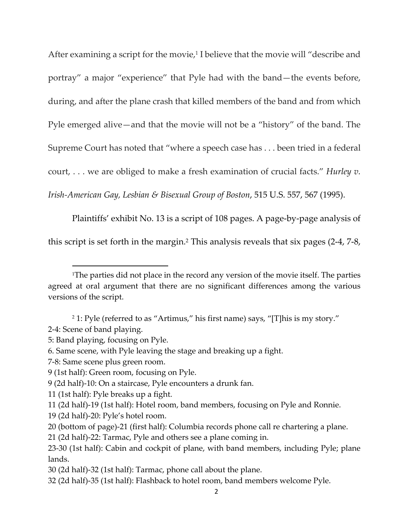After examining a script for the movie,<sup>1</sup> I believe that the movie will "describe and portray" a major "experience" that Pyle had with the band—the events before, during, and after the plane crash that killed members of the band and from which Pyle emerged alive—and that the movie will not be a "history" of the band. The Supreme Court has noted that "where a speech case has . . . been tried in a federal court, . . . we are obliged to make a fresh examination of crucial facts." *Hurley v. Irish‐American Gay, Lesbian & Bisexual Group of Boston*, 515 U.S. 557, 567 (1995).

Plaintiffs' exhibit No. 13 is a script of 108 pages. A page‐by‐page analysis of this script is set forth in the margin.2 This analysis reveals that six pages (2‐4, 7‐8,

2‐4: Scene of band playing.

- 7‐8: Same scene plus green room.
- 9 (1st half): Green room, focusing on Pyle.

- 11 (1st half): Pyle breaks up a fight.
- 11 (2d half)‐19 (1st half): Hotel room, band members, focusing on Pyle and Ronnie.
- 19 (2d half)‐20: Pyle's hotel room.
- 20 (bottom of page)‐21 (first half): Columbia records phone call re chartering a plane.

21 (2d half)‐22: Tarmac, Pyle and others see a plane coming in.

30 (2d half)‐32 (1st half): Tarmac, phone call about the plane.

<sup>&</sup>lt;sup>1</sup>The parties did not place in the record any version of the movie itself. The parties agreed at oral argument that there are no significant differences among the various versions of the script.

<sup>2</sup> 1: Pyle (referred to as "Artimus," his first name) says, "[T]his is my story."

<sup>5:</sup> Band playing, focusing on Pyle.

<sup>6.</sup> Same scene, with Pyle leaving the stage and breaking up a fight.

<sup>9</sup> (2d half)‐10: On a staircase, Pyle encounters a drunk fan.

<sup>23</sup>‐30 (1st half): Cabin and cockpit of plane, with band members, including Pyle; plane lands.

<sup>32</sup> (2d half)‐35 (1st half): Flashback to hotel room, band members welcome Pyle.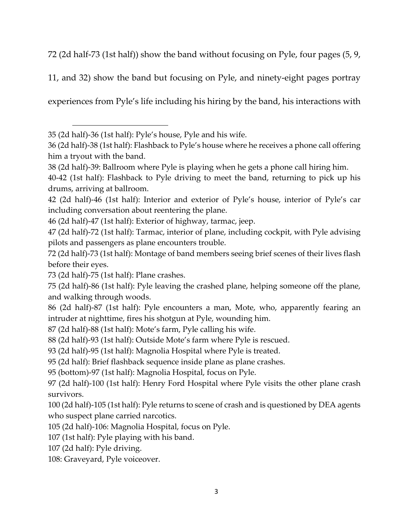72 (2d half-73 (1st half)) show the band without focusing on Pyle, four pages (5, 9,

11, and 32) show the band but focusing on Pyle, and ninety‐eight pages portray

experiences from Pyle's life including his hiring by the band, his interactions with

(2d half)‐36 (1st half): Pyle's house, Pyle and his wife.

 (2d half)‐38 (1st half): Flashback to Pyle's house where he receives a phone call offering him a tryout with the band.

(2d half)‐39: Ballroom where Pyle is playing when he gets a phone call hiring him.

‐42 (1st half): Flashback to Pyle driving to meet the band, returning to pick up his drums, arriving at ballroom.

 (2d half)‐46 (1st half): Interior and exterior of Pyle's house, interior of Pyle's car including conversation about reentering the plane.

(2d half)‐47 (1st half): Exterior of highway, tarmac, jeep.

 (2d half)‐72 (1st half): Tarmac, interior of plane, including cockpit, with Pyle advising pilots and passengers as plane encounters trouble.

 (2d half)‐73 (1st half): Montage of band members seeing brief scenes of their lives flash before their eyes.

(2d half)‐75 (1st half): Plane crashes.

 (2d half)‐86 (1st half): Pyle leaving the crashed plane, helping someone off the plane, and walking through woods.

 (2d half)‐87 (1st half): Pyle encounters a man, Mote, who, apparently fearing an intruder at nighttime, fires his shotgun at Pyle, wounding him.

(2d half)‐88 (1st half): Mote's farm, Pyle calling his wife.

(2d half)‐93 (1st half): Outside Mote's farm where Pyle is rescued.

(2d half)‐95 (1st half): Magnolia Hospital where Pyle is treated.

(2d half): Brief flashback sequence inside plane as plane crashes.

(bottom)‐97 (1st half): Magnolia Hospital, focus on Pyle.

 (2d half)‐100 (1st half): Henry Ford Hospital where Pyle visits the other plane crash survivors.

 (2d half)‐105 (1st half): Pyle returns to scene of crash and is questioned by DEA agents who suspect plane carried narcotics.

(2d half)‐106: Magnolia Hospital, focus on Pyle.

(1st half): Pyle playing with his band.

(2d half): Pyle driving.

<sup>108:</sup> Graveyard, Pyle voiceover.